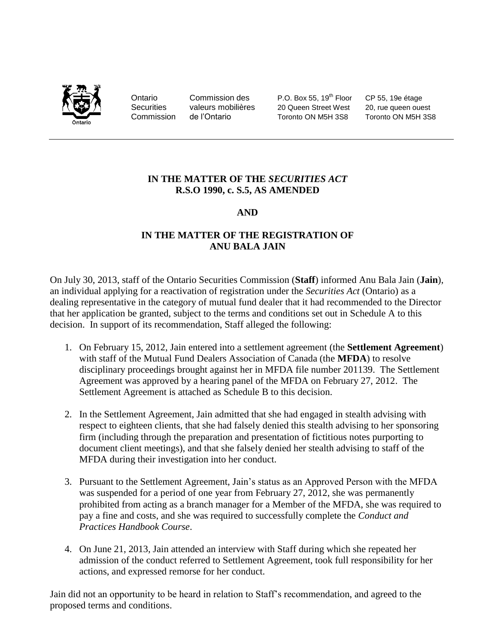

Ontario Commission des P.O. Box 55, 19<sup>th</sup> Floor CP 55, 19e étage Securities valeurs mobilières 20 Queen Street West 20, rue queen ouest Commission de l'Ontario Toronto ON M5H 3S8 Toronto ON M5H 3S8

# **IN THE MATTER OF THE** *SECURITIES ACT* **R.S.O 1990, c. S.5, AS AMENDED**

# **AND**

# **IN THE MATTER OF THE REGISTRATION OF ANU BALA JAIN**

On July 30, 2013, staff of the Ontario Securities Commission (**Staff**) informed Anu Bala Jain (**Jain**), an individual applying for a reactivation of registration under the *Securities Act* (Ontario) as a dealing representative in the category of mutual fund dealer that it had recommended to the Director that her application be granted, subject to the terms and conditions set out in Schedule A to this decision. In support of its recommendation, Staff alleged the following:

- 1. On February 15, 2012, Jain entered into a settlement agreement (the **Settlement Agreement**) with staff of the Mutual Fund Dealers Association of Canada (the **MFDA**) to resolve disciplinary proceedings brought against her in MFDA file number 201139. The Settlement Agreement was approved by a hearing panel of the MFDA on February 27, 2012. The Settlement Agreement is attached as Schedule B to this decision.
- 2. In the Settlement Agreement, Jain admitted that she had engaged in stealth advising with respect to eighteen clients, that she had falsely denied this stealth advising to her sponsoring firm (including through the preparation and presentation of fictitious notes purporting to document client meetings), and that she falsely denied her stealth advising to staff of the MFDA during their investigation into her conduct.
- 3. Pursuant to the Settlement Agreement, Jain's status as an Approved Person with the MFDA was suspended for a period of one year from February 27, 2012, she was permanently prohibited from acting as a branch manager for a Member of the MFDA, she was required to pay a fine and costs, and she was required to successfully complete the *Conduct and Practices Handbook Course*.
- 4. On June 21, 2013, Jain attended an interview with Staff during which she repeated her admission of the conduct referred to Settlement Agreement, took full responsibility for her actions, and expressed remorse for her conduct.

Jain did not an opportunity to be heard in relation to Staff's recommendation, and agreed to the proposed terms and conditions.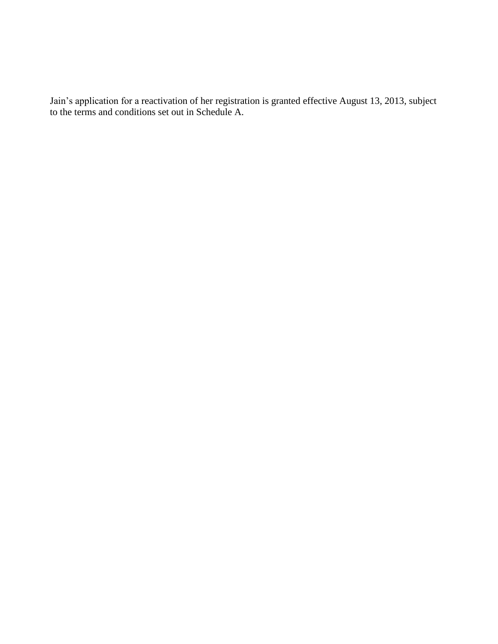Jain's application for a reactivation of her registration is granted effective August 13, 2013, subject to the terms and conditions set out in Schedule A.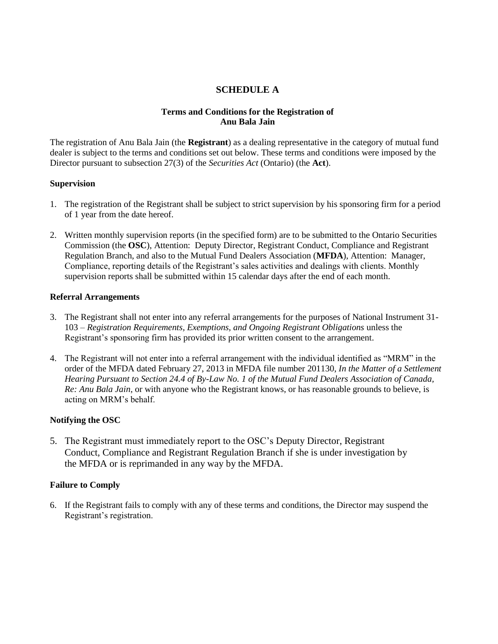# **SCHEDULE A**

# **Terms and Conditions for the Registration of Anu Bala Jain**

The registration of Anu Bala Jain (the **Registrant**) as a dealing representative in the category of mutual fund dealer is subject to the terms and conditions set out below. These terms and conditions were imposed by the Director pursuant to subsection 27(3) of the *Securities Act* (Ontario) (the **Act**).

### **Supervision**

- 1. The registration of the Registrant shall be subject to strict supervision by his sponsoring firm for a period of 1 year from the date hereof.
- 2. Written monthly supervision reports (in the specified form) are to be submitted to the Ontario Securities Commission (the **OSC**), Attention: Deputy Director, Registrant Conduct, Compliance and Registrant Regulation Branch, and also to the Mutual Fund Dealers Association (**MFDA**), Attention: Manager, Compliance, reporting details of the Registrant's sales activities and dealings with clients. Monthly supervision reports shall be submitted within 15 calendar days after the end of each month.

### **Referral Arrangements**

- 3. The Registrant shall not enter into any referral arrangements for the purposes of National Instrument 31- 103 – *Registration Requirements, Exemptions, and Ongoing Registrant Obligations* unless the Registrant's sponsoring firm has provided its prior written consent to the arrangement.
- 4. The Registrant will not enter into a referral arrangement with the individual identified as "MRM" in the order of the MFDA dated February 27, 2013 in MFDA file number 201130, *In the Matter of a Settlement Hearing Pursuant to Section 24.4 of By-Law No. 1 of the Mutual Fund Dealers Association of Canada, Re: Anu Bala Jain*, or with anyone who the Registrant knows, or has reasonable grounds to believe, is acting on MRM's behalf.

# **Notifying the OSC**

5. The Registrant must immediately report to the OSC's Deputy Director, Registrant Conduct, Compliance and Registrant Regulation Branch if she is under investigation by the MFDA or is reprimanded in any way by the MFDA.

### **Failure to Comply**

6. If the Registrant fails to comply with any of these terms and conditions, the Director may suspend the Registrant's registration.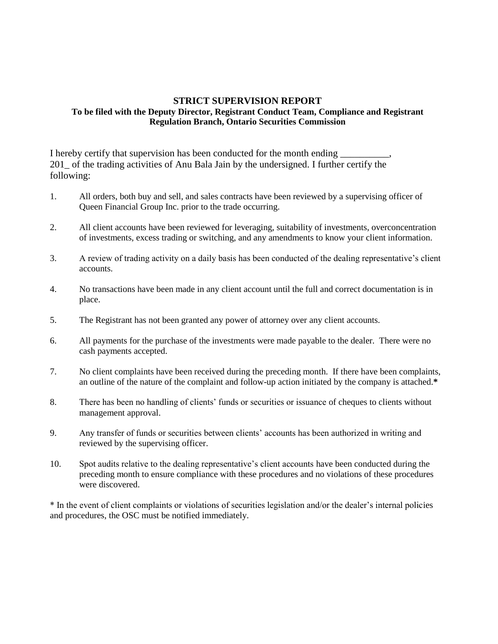## **STRICT SUPERVISION REPORT To be filed with the Deputy Director, Registrant Conduct Team, Compliance and Registrant Regulation Branch, Ontario Securities Commission**

I hereby certify that supervision has been conducted for the month ending 201\_ of the trading activities of Anu Bala Jain by the undersigned. I further certify the following:

- 1. All orders, both buy and sell, and sales contracts have been reviewed by a supervising officer of Queen Financial Group Inc. prior to the trade occurring.
- 2. All client accounts have been reviewed for leveraging, suitability of investments, overconcentration of investments, excess trading or switching, and any amendments to know your client information.
- 3. A review of trading activity on a daily basis has been conducted of the dealing representative's client accounts.
- 4. No transactions have been made in any client account until the full and correct documentation is in place.
- 5. The Registrant has not been granted any power of attorney over any client accounts.
- 6. All payments for the purchase of the investments were made payable to the dealer. There were no cash payments accepted.
- 7. No client complaints have been received during the preceding month. If there have been complaints, an outline of the nature of the complaint and follow-up action initiated by the company is attached.**\***
- 8. There has been no handling of clients' funds or securities or issuance of cheques to clients without management approval.
- 9. Any transfer of funds or securities between clients' accounts has been authorized in writing and reviewed by the supervising officer.
- 10. Spot audits relative to the dealing representative's client accounts have been conducted during the preceding month to ensure compliance with these procedures and no violations of these procedures were discovered.

\* In the event of client complaints or violations of securities legislation and/or the dealer's internal policies and procedures, the OSC must be notified immediately.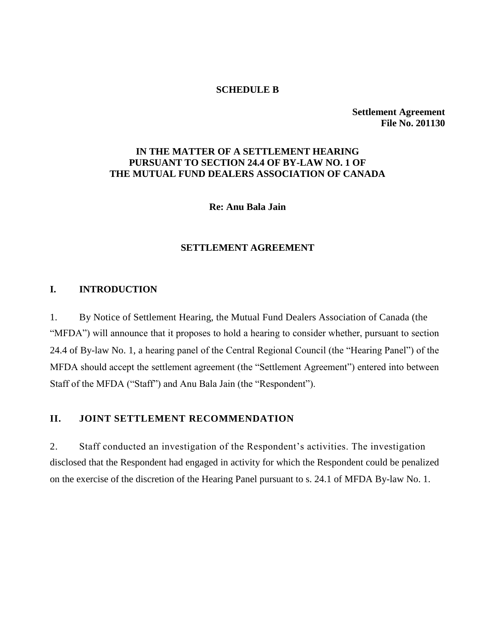### **SCHEDULE B**

**Settlement Agreement File No. 201130**

# **IN THE MATTER OF A SETTLEMENT HEARING PURSUANT TO SECTION 24.4 OF BY-LAW NO. 1 OF THE MUTUAL FUND DEALERS ASSOCIATION OF CANADA**

**Re: Anu Bala Jain**

# **SETTLEMENT AGREEMENT**

# **I. INTRODUCTION**

1. By Notice of Settlement Hearing, the Mutual Fund Dealers Association of Canada (the "MFDA") will announce that it proposes to hold a hearing to consider whether, pursuant to section 24.4 of By-law No. 1, a hearing panel of the Central Regional Council (the "Hearing Panel") of the MFDA should accept the settlement agreement (the "Settlement Agreement") entered into between Staff of the MFDA ("Staff") and Anu Bala Jain (the "Respondent").

# **II. JOINT SETTLEMENT RECOMMENDATION**

2. Staff conducted an investigation of the Respondent's activities. The investigation disclosed that the Respondent had engaged in activity for which the Respondent could be penalized on the exercise of the discretion of the Hearing Panel pursuant to s. 24.1 of MFDA By-law No. 1.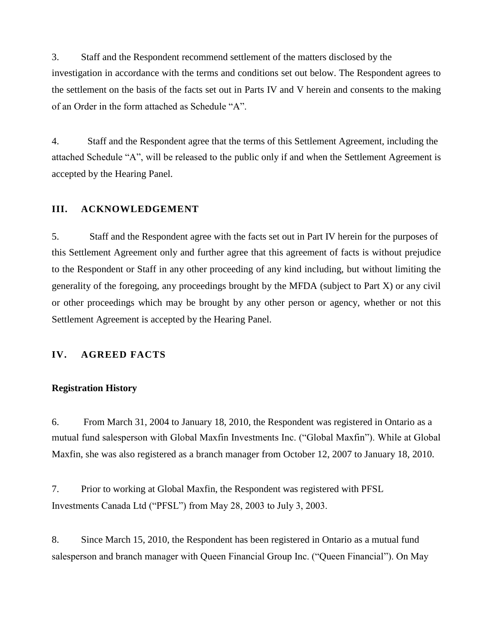3. Staff and the Respondent recommend settlement of the matters disclosed by the investigation in accordance with the terms and conditions set out below. The Respondent agrees to the settlement on the basis of the facts set out in Parts IV and V herein and consents to the making of an Order in the form attached as Schedule "A".

4. Staff and the Respondent agree that the terms of this Settlement Agreement, including the attached Schedule "A", will be released to the public only if and when the Settlement Agreement is accepted by the Hearing Panel.

# **III. ACKNOWLEDGEMENT**

5. Staff and the Respondent agree with the facts set out in Part IV herein for the purposes of this Settlement Agreement only and further agree that this agreement of facts is without prejudice to the Respondent or Staff in any other proceeding of any kind including, but without limiting the generality of the foregoing, any proceedings brought by the MFDA (subject to Part X) or any civil or other proceedings which may be brought by any other person or agency, whether or not this Settlement Agreement is accepted by the Hearing Panel.

# **IV. AGREED FACTS**

### **Registration History**

6. From March 31, 2004 to January 18, 2010, the Respondent was registered in Ontario as a mutual fund salesperson with Global Maxfin Investments Inc. ("Global Maxfin"). While at Global Maxfin, she was also registered as a branch manager from October 12, 2007 to January 18, 2010.

7. Prior to working at Global Maxfin, the Respondent was registered with PFSL Investments Canada Ltd ("PFSL") from May 28, 2003 to July 3, 2003.

8. Since March 15, 2010, the Respondent has been registered in Ontario as a mutual fund salesperson and branch manager with Queen Financial Group Inc. ("Queen Financial"). On May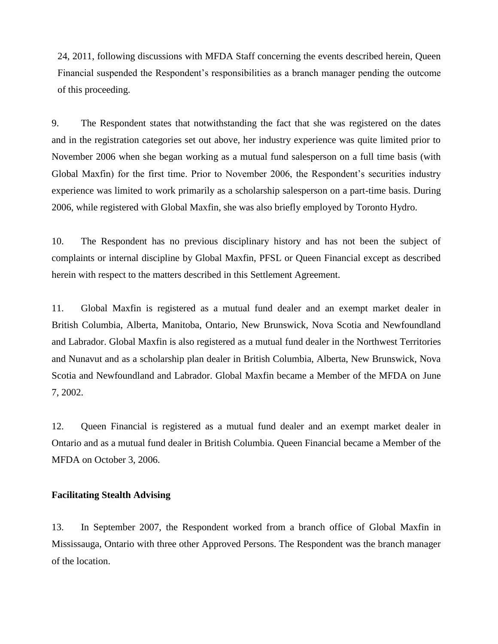24, 2011, following discussions with MFDA Staff concerning the events described herein, Queen Financial suspended the Respondent's responsibilities as a branch manager pending the outcome of this proceeding.

9. The Respondent states that notwithstanding the fact that she was registered on the dates and in the registration categories set out above, her industry experience was quite limited prior to November 2006 when she began working as a mutual fund salesperson on a full time basis (with Global Maxfin) for the first time. Prior to November 2006, the Respondent's securities industry experience was limited to work primarily as a scholarship salesperson on a part-time basis. During 2006, while registered with Global Maxfin, she was also briefly employed by Toronto Hydro.

10. The Respondent has no previous disciplinary history and has not been the subject of complaints or internal discipline by Global Maxfin, PFSL or Queen Financial except as described herein with respect to the matters described in this Settlement Agreement.

11. Global Maxfin is registered as a mutual fund dealer and an exempt market dealer in British Columbia, Alberta, Manitoba, Ontario, New Brunswick, Nova Scotia and Newfoundland and Labrador. Global Maxfin is also registered as a mutual fund dealer in the Northwest Territories and Nunavut and as a scholarship plan dealer in British Columbia, Alberta, New Brunswick, Nova Scotia and Newfoundland and Labrador. Global Maxfin became a Member of the MFDA on June 7, 2002.

12. Queen Financial is registered as a mutual fund dealer and an exempt market dealer in Ontario and as a mutual fund dealer in British Columbia. Queen Financial became a Member of the MFDA on October 3, 2006.

#### **Facilitating Stealth Advising**

13. In September 2007, the Respondent worked from a branch office of Global Maxfin in Mississauga, Ontario with three other Approved Persons. The Respondent was the branch manager of the location.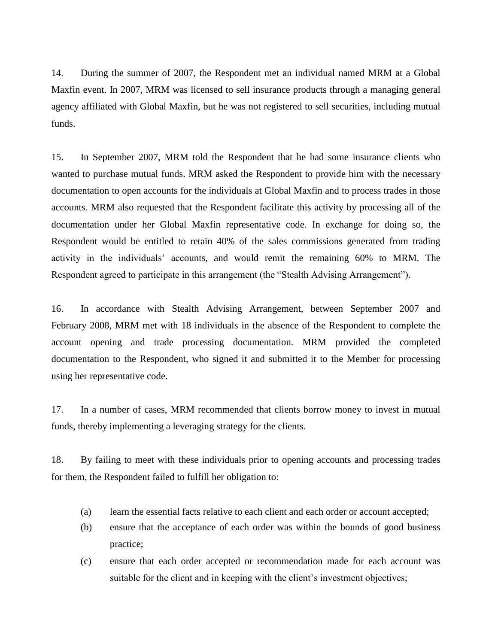14. During the summer of 2007, the Respondent met an individual named MRM at a Global Maxfin event. In 2007, MRM was licensed to sell insurance products through a managing general agency affiliated with Global Maxfin, but he was not registered to sell securities, including mutual funds.

15. In September 2007, MRM told the Respondent that he had some insurance clients who wanted to purchase mutual funds. MRM asked the Respondent to provide him with the necessary documentation to open accounts for the individuals at Global Maxfin and to process trades in those accounts. MRM also requested that the Respondent facilitate this activity by processing all of the documentation under her Global Maxfin representative code. In exchange for doing so, the Respondent would be entitled to retain 40% of the sales commissions generated from trading activity in the individuals' accounts, and would remit the remaining 60% to MRM. The Respondent agreed to participate in this arrangement (the "Stealth Advising Arrangement").

16. In accordance with Stealth Advising Arrangement, between September 2007 and February 2008, MRM met with 18 individuals in the absence of the Respondent to complete the account opening and trade processing documentation. MRM provided the completed documentation to the Respondent, who signed it and submitted it to the Member for processing using her representative code.

17. In a number of cases, MRM recommended that clients borrow money to invest in mutual funds, thereby implementing a leveraging strategy for the clients.

18. By failing to meet with these individuals prior to opening accounts and processing trades for them, the Respondent failed to fulfill her obligation to:

- (a) learn the essential facts relative to each client and each order or account accepted;
- (b) ensure that the acceptance of each order was within the bounds of good business practice;
- (c) ensure that each order accepted or recommendation made for each account was suitable for the client and in keeping with the client's investment objectives;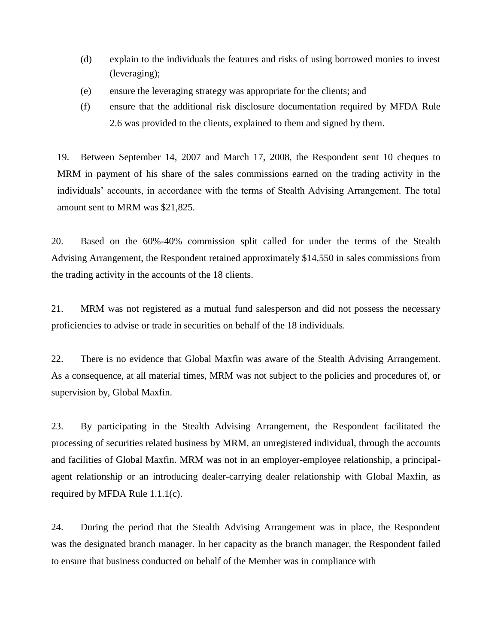- (d) explain to the individuals the features and risks of using borrowed monies to invest (leveraging);
- (e) ensure the leveraging strategy was appropriate for the clients; and
- (f) ensure that the additional risk disclosure documentation required by MFDA Rule 2.6 was provided to the clients, explained to them and signed by them.

19. Between September 14, 2007 and March 17, 2008, the Respondent sent 10 cheques to MRM in payment of his share of the sales commissions earned on the trading activity in the individuals' accounts, in accordance with the terms of Stealth Advising Arrangement. The total amount sent to MRM was \$21,825.

20. Based on the 60%-40% commission split called for under the terms of the Stealth Advising Arrangement, the Respondent retained approximately \$14,550 in sales commissions from the trading activity in the accounts of the 18 clients.

21. MRM was not registered as a mutual fund salesperson and did not possess the necessary proficiencies to advise or trade in securities on behalf of the 18 individuals.

22. There is no evidence that Global Maxfin was aware of the Stealth Advising Arrangement. As a consequence, at all material times, MRM was not subject to the policies and procedures of, or supervision by, Global Maxfin.

23. By participating in the Stealth Advising Arrangement, the Respondent facilitated the processing of securities related business by MRM, an unregistered individual, through the accounts and facilities of Global Maxfin. MRM was not in an employer-employee relationship, a principalagent relationship or an introducing dealer-carrying dealer relationship with Global Maxfin, as required by MFDA Rule 1.1.1(c).

24. During the period that the Stealth Advising Arrangement was in place, the Respondent was the designated branch manager. In her capacity as the branch manager, the Respondent failed to ensure that business conducted on behalf of the Member was in compliance with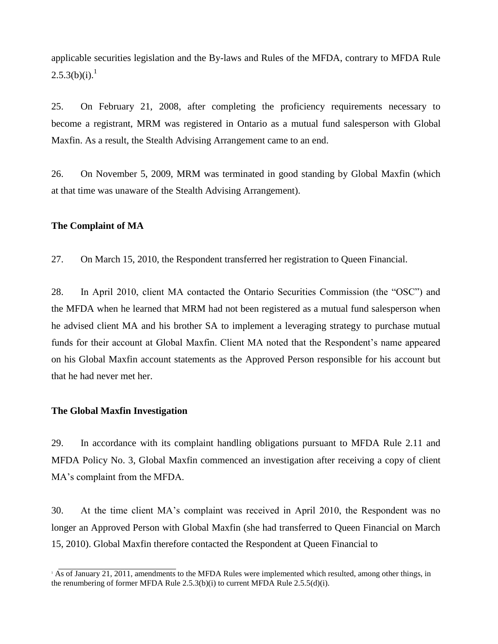applicable securities legislation and the By-laws and Rules of the MFDA, contrary to MFDA Rule  $2.5.3(b)(i).<sup>1</sup>$ 

25. On February 21, 2008, after completing the proficiency requirements necessary to become a registrant, MRM was registered in Ontario as a mutual fund salesperson with Global Maxfin. As a result, the Stealth Advising Arrangement came to an end.

26. On November 5, 2009, MRM was terminated in good standing by Global Maxfin (which at that time was unaware of the Stealth Advising Arrangement).

### **The Complaint of MA**

27. On March 15, 2010, the Respondent transferred her registration to Queen Financial.

28. In April 2010, client MA contacted the Ontario Securities Commission (the "OSC") and the MFDA when he learned that MRM had not been registered as a mutual fund salesperson when he advised client MA and his brother SA to implement a leveraging strategy to purchase mutual funds for their account at Global Maxfin. Client MA noted that the Respondent's name appeared on his Global Maxfin account statements as the Approved Person responsible for his account but that he had never met her.

### **The Global Maxfin Investigation**

29. In accordance with its complaint handling obligations pursuant to MFDA Rule 2.11 and MFDA Policy No. 3, Global Maxfin commenced an investigation after receiving a copy of client MA's complaint from the MFDA.

30. At the time client MA's complaint was received in April 2010, the Respondent was no longer an Approved Person with Global Maxfin (she had transferred to Queen Financial on March 15, 2010). Global Maxfin therefore contacted the Respondent at Queen Financial to

<sup>&</sup>lt;sup>1</sup> As of January 21, 2011, amendments to the MFDA Rules were implemented which resulted, among other things, in the renumbering of former MFDA Rule  $2.5.3(b)(i)$  to current MFDA Rule  $2.5.5(d)(i)$ .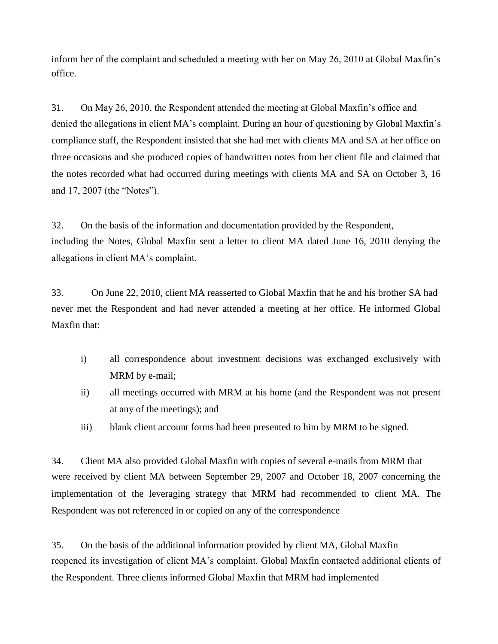inform her of the complaint and scheduled a meeting with her on May 26, 2010 at Global Maxfin's office.

31. On May 26, 2010, the Respondent attended the meeting at Global Maxfin's office and denied the allegations in client MA's complaint. During an hour of questioning by Global Maxfin's compliance staff, the Respondent insisted that she had met with clients MA and SA at her office on three occasions and she produced copies of handwritten notes from her client file and claimed that the notes recorded what had occurred during meetings with clients MA and SA on October 3, 16 and 17, 2007 (the "Notes").

32. On the basis of the information and documentation provided by the Respondent, including the Notes, Global Maxfin sent a letter to client MA dated June 16, 2010 denying the allegations in client MA's complaint.

33. On June 22, 2010, client MA reasserted to Global Maxfin that he and his brother SA had never met the Respondent and had never attended a meeting at her office. He informed Global Maxfin that:

- i) all correspondence about investment decisions was exchanged exclusively with MRM by e-mail;
- ii) all meetings occurred with MRM at his home (and the Respondent was not present at any of the meetings); and
- iii) blank client account forms had been presented to him by MRM to be signed.

34. Client MA also provided Global Maxfin with copies of several e-mails from MRM that were received by client MA between September 29, 2007 and October 18, 2007 concerning the implementation of the leveraging strategy that MRM had recommended to client MA. The Respondent was not referenced in or copied on any of the correspondence

35. On the basis of the additional information provided by client MA, Global Maxfin reopened its investigation of client MA's complaint. Global Maxfin contacted additional clients of the Respondent. Three clients informed Global Maxfin that MRM had implemented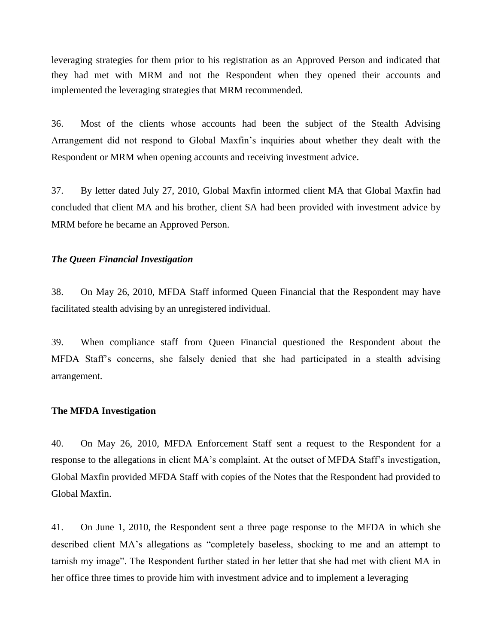leveraging strategies for them prior to his registration as an Approved Person and indicated that they had met with MRM and not the Respondent when they opened their accounts and implemented the leveraging strategies that MRM recommended.

36. Most of the clients whose accounts had been the subject of the Stealth Advising Arrangement did not respond to Global Maxfin's inquiries about whether they dealt with the Respondent or MRM when opening accounts and receiving investment advice.

37. By letter dated July 27, 2010, Global Maxfin informed client MA that Global Maxfin had concluded that client MA and his brother, client SA had been provided with investment advice by MRM before he became an Approved Person.

### *The Queen Financial Investigation*

38. On May 26, 2010, MFDA Staff informed Queen Financial that the Respondent may have facilitated stealth advising by an unregistered individual.

39. When compliance staff from Queen Financial questioned the Respondent about the MFDA Staff's concerns, she falsely denied that she had participated in a stealth advising arrangement.

### **The MFDA Investigation**

40. On May 26, 2010, MFDA Enforcement Staff sent a request to the Respondent for a response to the allegations in client MA's complaint. At the outset of MFDA Staff's investigation, Global Maxfin provided MFDA Staff with copies of the Notes that the Respondent had provided to Global Maxfin.

41. On June 1, 2010, the Respondent sent a three page response to the MFDA in which she described client MA's allegations as "completely baseless, shocking to me and an attempt to tarnish my image". The Respondent further stated in her letter that she had met with client MA in her office three times to provide him with investment advice and to implement a leveraging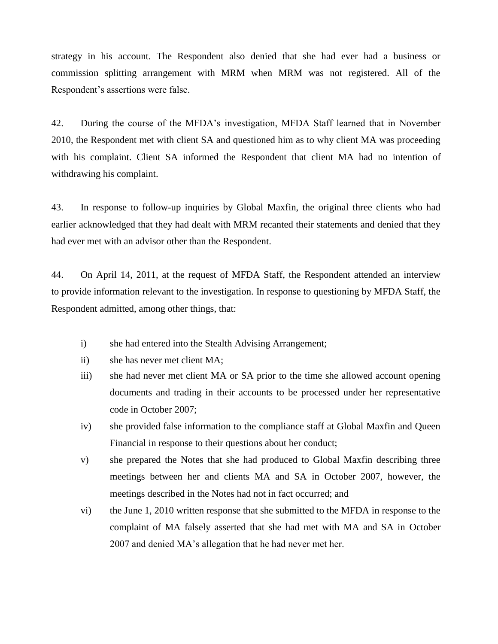strategy in his account. The Respondent also denied that she had ever had a business or commission splitting arrangement with MRM when MRM was not registered. All of the Respondent's assertions were false.

42. During the course of the MFDA's investigation, MFDA Staff learned that in November 2010, the Respondent met with client SA and questioned him as to why client MA was proceeding with his complaint. Client SA informed the Respondent that client MA had no intention of withdrawing his complaint.

43. In response to follow-up inquiries by Global Maxfin, the original three clients who had earlier acknowledged that they had dealt with MRM recanted their statements and denied that they had ever met with an advisor other than the Respondent.

44. On April 14, 2011, at the request of MFDA Staff, the Respondent attended an interview to provide information relevant to the investigation. In response to questioning by MFDA Staff, the Respondent admitted, among other things, that:

- i) she had entered into the Stealth Advising Arrangement;
- ii) she has never met client MA;
- iii) she had never met client MA or SA prior to the time she allowed account opening documents and trading in their accounts to be processed under her representative code in October 2007;
- iv) she provided false information to the compliance staff at Global Maxfin and Queen Financial in response to their questions about her conduct;
- v) she prepared the Notes that she had produced to Global Maxfin describing three meetings between her and clients MA and SA in October 2007, however, the meetings described in the Notes had not in fact occurred; and
- vi) the June 1, 2010 written response that she submitted to the MFDA in response to the complaint of MA falsely asserted that she had met with MA and SA in October 2007 and denied MA's allegation that he had never met her.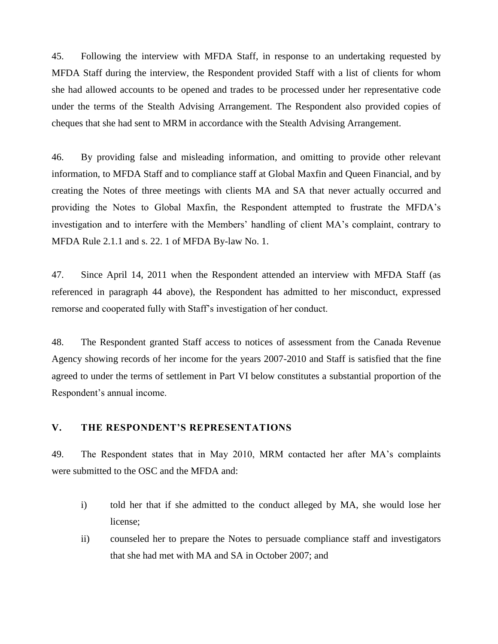45. Following the interview with MFDA Staff, in response to an undertaking requested by MFDA Staff during the interview, the Respondent provided Staff with a list of clients for whom she had allowed accounts to be opened and trades to be processed under her representative code under the terms of the Stealth Advising Arrangement. The Respondent also provided copies of cheques that she had sent to MRM in accordance with the Stealth Advising Arrangement.

46. By providing false and misleading information, and omitting to provide other relevant information, to MFDA Staff and to compliance staff at Global Maxfin and Queen Financial, and by creating the Notes of three meetings with clients MA and SA that never actually occurred and providing the Notes to Global Maxfin, the Respondent attempted to frustrate the MFDA's investigation and to interfere with the Members' handling of client MA's complaint, contrary to MFDA Rule 2.1.1 and s. 22. 1 of MFDA By-law No. 1.

47. Since April 14, 2011 when the Respondent attended an interview with MFDA Staff (as referenced in paragraph 44 above), the Respondent has admitted to her misconduct, expressed remorse and cooperated fully with Staff's investigation of her conduct.

48. The Respondent granted Staff access to notices of assessment from the Canada Revenue Agency showing records of her income for the years 2007-2010 and Staff is satisfied that the fine agreed to under the terms of settlement in Part VI below constitutes a substantial proportion of the Respondent's annual income.

### **V. THE RESPONDENT'S REPRESENTATIONS**

49. The Respondent states that in May 2010, MRM contacted her after MA's complaints were submitted to the OSC and the MFDA and:

- i) told her that if she admitted to the conduct alleged by MA, she would lose her license;
- ii) counseled her to prepare the Notes to persuade compliance staff and investigators that she had met with MA and SA in October 2007; and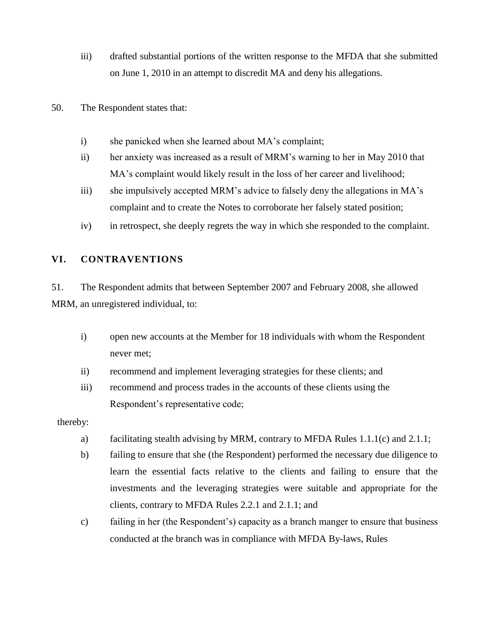- iii) drafted substantial portions of the written response to the MFDA that she submitted on June 1, 2010 in an attempt to discredit MA and deny his allegations.
- 50. The Respondent states that:
	- i) she panicked when she learned about MA's complaint;
	- ii) her anxiety was increased as a result of MRM's warning to her in May 2010 that MA's complaint would likely result in the loss of her career and livelihood;
	- iii) she impulsively accepted MRM's advice to falsely deny the allegations in MA's complaint and to create the Notes to corroborate her falsely stated position;
	- iv) in retrospect, she deeply regrets the way in which she responded to the complaint.

# **VI. CONTRAVENTIONS**

51. The Respondent admits that between September 2007 and February 2008, she allowed MRM, an unregistered individual, to:

- i) open new accounts at the Member for 18 individuals with whom the Respondent never met;
- ii) recommend and implement leveraging strategies for these clients; and
- iii) recommend and process trades in the accounts of these clients using the Respondent's representative code;

## thereby:

- a) facilitating stealth advising by MRM, contrary to MFDA Rules 1.1.1(c) and 2.1.1;
- b) failing to ensure that she (the Respondent) performed the necessary due diligence to learn the essential facts relative to the clients and failing to ensure that the investments and the leveraging strategies were suitable and appropriate for the clients, contrary to MFDA Rules 2.2.1 and 2.1.1; and
- c) failing in her (the Respondent's) capacity as a branch manger to ensure that business conducted at the branch was in compliance with MFDA By-laws, Rules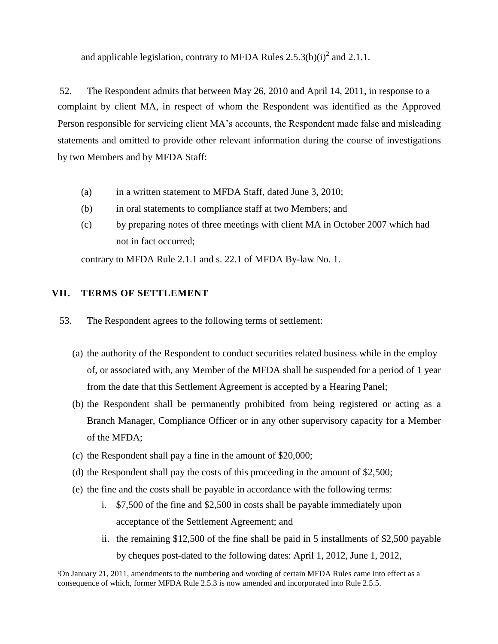and applicable legislation, contrary to MFDA Rules  $2.5.3(b)(i)^2$  and  $2.1.1$ .

52. The Respondent admits that between May 26, 2010 and April 14, 2011, in response to a complaint by client MA, in respect of whom the Respondent was identified as the Approved Person responsible for servicing client MA's accounts, the Respondent made false and misleading statements and omitted to provide other relevant information during the course of investigations by two Members and by MFDA Staff:

- (a) in a written statement to MFDA Staff, dated June 3, 2010;
- (b) in oral statements to compliance staff at two Members; and
- (c) by preparing notes of three meetings with client MA in October 2007 which had not in fact occurred;

contrary to MFDA Rule 2.1.1 and s. 22.1 of MFDA By-law No. 1.

# **VII. TERMS OF SETTLEMENT**

- 53. The Respondent agrees to the following terms of settlement:
	- (a) the authority of the Respondent to conduct securities related business while in the employ of, or associated with, any Member of the MFDA shall be suspended for a period of 1 year from the date that this Settlement Agreement is accepted by a Hearing Panel;
	- (b) the Respondent shall be permanently prohibited from being registered or acting as a Branch Manager, Compliance Officer or in any other supervisory capacity for a Member of the MFDA;
	- (c) the Respondent shall pay a fine in the amount of \$20,000;
	- (d) the Respondent shall pay the costs of this proceeding in the amount of \$2,500;
	- (e) the fine and the costs shall be payable in accordance with the following terms:
		- i. \$7,500 of the fine and \$2,500 in costs shall be payable immediately upon acceptance of the Settlement Agreement; and
		- ii. the remaining \$12,500 of the fine shall be paid in 5 installments of \$2,500 payable by cheques post-dated to the following dates: April 1, 2012, June 1, 2012,

<sup>2</sup>On January 21, 2011, amendments to the numbering and wording of certain MFDA Rules came into effect as a consequence of which, former MFDA Rule 2.5.3 is now amended and incorporated into Rule 2.5.5.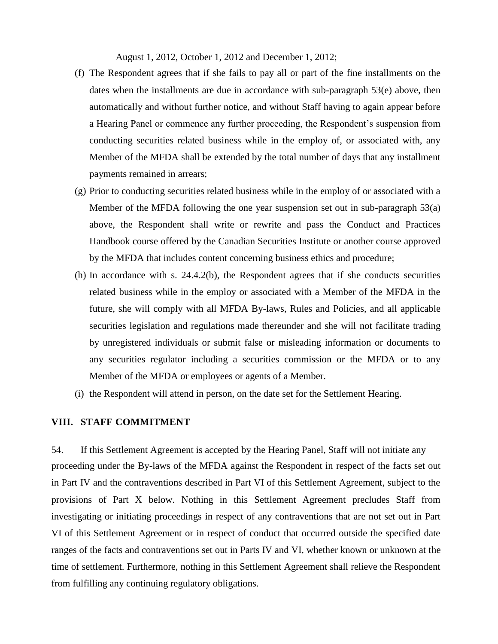August 1, 2012, October 1, 2012 and December 1, 2012;

- (f) The Respondent agrees that if she fails to pay all or part of the fine installments on the dates when the installments are due in accordance with sub-paragraph 53(e) above, then automatically and without further notice, and without Staff having to again appear before a Hearing Panel or commence any further proceeding, the Respondent's suspension from conducting securities related business while in the employ of, or associated with, any Member of the MFDA shall be extended by the total number of days that any installment payments remained in arrears;
- (g) Prior to conducting securities related business while in the employ of or associated with a Member of the MFDA following the one year suspension set out in sub-paragraph 53(a) above, the Respondent shall write or rewrite and pass the Conduct and Practices Handbook course offered by the Canadian Securities Institute or another course approved by the MFDA that includes content concerning business ethics and procedure;
- (h) In accordance with s. 24.4.2(b), the Respondent agrees that if she conducts securities related business while in the employ or associated with a Member of the MFDA in the future, she will comply with all MFDA By-laws, Rules and Policies, and all applicable securities legislation and regulations made thereunder and she will not facilitate trading by unregistered individuals or submit false or misleading information or documents to any securities regulator including a securities commission or the MFDA or to any Member of the MFDA or employees or agents of a Member.
- (i) the Respondent will attend in person, on the date set for the Settlement Hearing.

## **VIII. STAFF COMMITMENT**

54. If this Settlement Agreement is accepted by the Hearing Panel, Staff will not initiate any proceeding under the By-laws of the MFDA against the Respondent in respect of the facts set out in Part IV and the contraventions described in Part VI of this Settlement Agreement, subject to the provisions of Part X below. Nothing in this Settlement Agreement precludes Staff from investigating or initiating proceedings in respect of any contraventions that are not set out in Part VI of this Settlement Agreement or in respect of conduct that occurred outside the specified date ranges of the facts and contraventions set out in Parts IV and VI, whether known or unknown at the time of settlement. Furthermore, nothing in this Settlement Agreement shall relieve the Respondent from fulfilling any continuing regulatory obligations.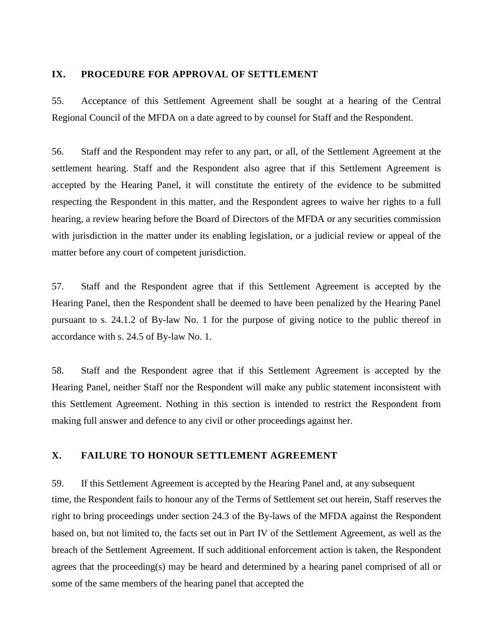### **IX. PROCEDURE FOR APPROVAL OF SETTLEMENT**

55. Acceptance of this Settlement Agreement shall be sought at a hearing of the Central Regional Council of the MFDA on a date agreed to by counsel for Staff and the Respondent.

56. Staff and the Respondent may refer to any part, or all, of the Settlement Agreement at the settlement hearing. Staff and the Respondent also agree that if this Settlement Agreement is accepted by the Hearing Panel, it will constitute the entirety of the evidence to be submitted respecting the Respondent in this matter, and the Respondent agrees to waive her rights to a full hearing, a review hearing before the Board of Directors of the MFDA or any securities commission with jurisdiction in the matter under its enabling legislation, or a judicial review or appeal of the matter before any court of competent jurisdiction.

57. Staff and the Respondent agree that if this Settlement Agreement is accepted by the Hearing Panel, then the Respondent shall be deemed to have been penalized by the Hearing Panel pursuant to s. 24.1.2 of By-law No. 1 for the purpose of giving notice to the public thereof in accordance with s. 24.5 of By-law No. 1.

58. Staff and the Respondent agree that if this Settlement Agreement is accepted by the Hearing Panel, neither Staff nor the Respondent will make any public statement inconsistent with this Settlement Agreement. Nothing in this section is intended to restrict the Respondent from making full answer and defence to any civil or other proceedings against her.

# **X. FAILURE TO HONOUR SETTLEMENT AGREEMENT**

59. If this Settlement Agreement is accepted by the Hearing Panel and, at any subsequent time, the Respondent fails to honour any of the Terms of Settlement set out herein, Staff reserves the right to bring proceedings under section 24.3 of the By-laws of the MFDA against the Respondent based on, but not limited to, the facts set out in Part IV of the Settlement Agreement, as well as the breach of the Settlement Agreement. If such additional enforcement action is taken, the Respondent agrees that the proceeding(s) may be heard and determined by a hearing panel comprised of all or some of the same members of the hearing panel that accepted the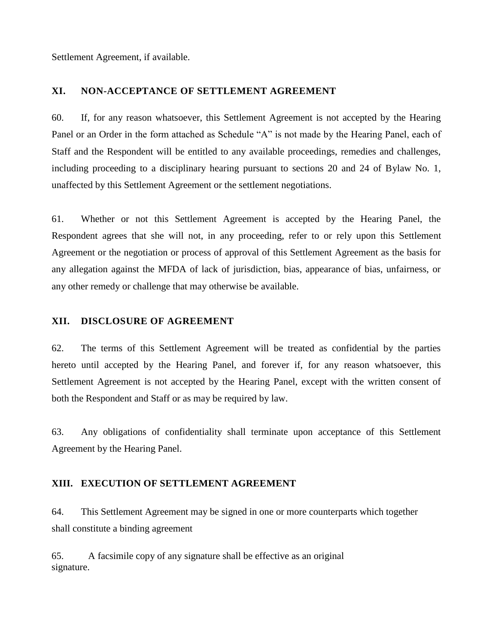Settlement Agreement, if available.

## **XI. NON-ACCEPTANCE OF SETTLEMENT AGREEMENT**

60. If, for any reason whatsoever, this Settlement Agreement is not accepted by the Hearing Panel or an Order in the form attached as Schedule "A" is not made by the Hearing Panel, each of Staff and the Respondent will be entitled to any available proceedings, remedies and challenges, including proceeding to a disciplinary hearing pursuant to sections 20 and 24 of Bylaw No. 1, unaffected by this Settlement Agreement or the settlement negotiations.

61. Whether or not this Settlement Agreement is accepted by the Hearing Panel, the Respondent agrees that she will not, in any proceeding, refer to or rely upon this Settlement Agreement or the negotiation or process of approval of this Settlement Agreement as the basis for any allegation against the MFDA of lack of jurisdiction, bias, appearance of bias, unfairness, or any other remedy or challenge that may otherwise be available.

### **XII. DISCLOSURE OF AGREEMENT**

62. The terms of this Settlement Agreement will be treated as confidential by the parties hereto until accepted by the Hearing Panel, and forever if, for any reason whatsoever, this Settlement Agreement is not accepted by the Hearing Panel, except with the written consent of both the Respondent and Staff or as may be required by law.

63. Any obligations of confidentiality shall terminate upon acceptance of this Settlement Agreement by the Hearing Panel.

# **XIII. EXECUTION OF SETTLEMENT AGREEMENT**

64. This Settlement Agreement may be signed in one or more counterparts which together shall constitute a binding agreement

65. A facsimile copy of any signature shall be effective as an original signature.